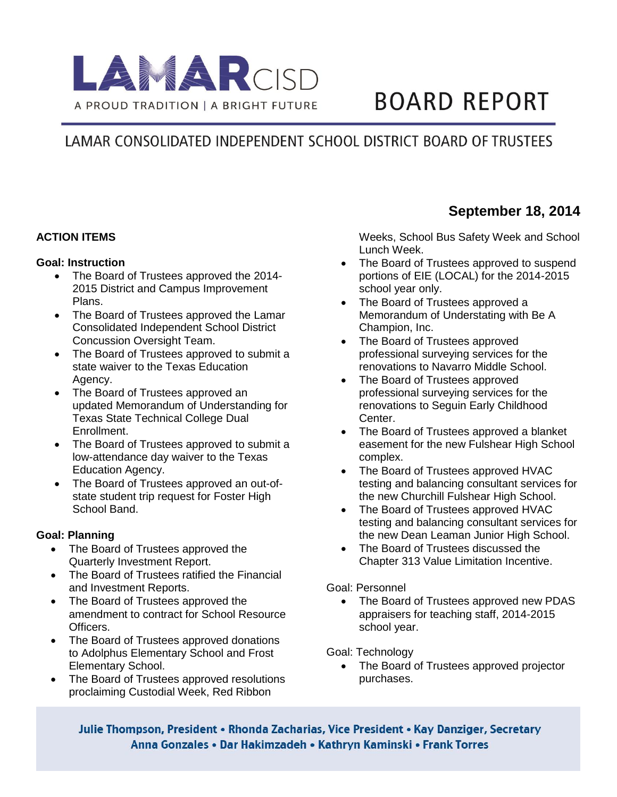

# **BOARD REPORT**

# LAMAR CONSOLIDATED INDEPENDENT SCHOOL DISTRICT BOARD OF TRUSTEES

## **ACTION ITEMS**

#### **Goal: Instruction**

- The Board of Trustees approved the 2014-2015 District and Campus Improvement Plans.
- The Board of Trustees approved the Lamar Consolidated Independent School District Concussion Oversight Team.
- The Board of Trustees approved to submit a state waiver to the Texas Education Agency.
- The Board of Trustees approved an updated Memorandum of Understanding for Texas State Technical College Dual Enrollment.
- The Board of Trustees approved to submit a low-attendance day waiver to the Texas Education Agency.
- The Board of Trustees approved an out-ofstate student trip request for Foster High School Band.

#### **Goal: Planning**

- The Board of Trustees approved the Quarterly Investment Report.
- The Board of Trustees ratified the Financial and Investment Reports.
- The Board of Trustees approved the amendment to contract for School Resource Officers.
- The Board of Trustees approved donations to Adolphus Elementary School and Frost Elementary School.
- The Board of Trustees approved resolutions proclaiming Custodial Week, Red Ribbon

**September 18, 2014**

Weeks, School Bus Safety Week and School Lunch Week.

- The Board of Trustees approved to suspend portions of EIE (LOCAL) for the 2014-2015 school year only.
- The Board of Trustees approved a Memorandum of Understating with Be A Champion, Inc.
- The Board of Trustees approved professional surveying services for the renovations to Navarro Middle School.
- The Board of Trustees approved professional surveying services for the renovations to Seguin Early Childhood Center.
- The Board of Trustees approved a blanket easement for the new Fulshear High School complex.
- The Board of Trustees approved HVAC testing and balancing consultant services for the new Churchill Fulshear High School.
- The Board of Trustees approved HVAC testing and balancing consultant services for the new Dean Leaman Junior High School.
- The Board of Trustees discussed the Chapter 313 Value Limitation Incentive.

#### Goal: Personnel

• The Board of Trustees approved new PDAS appraisers for teaching staff, 2014-2015 school year.

Goal: Technology

• The Board of Trustees approved projector purchases.

Julie Thompson, President • Rhonda Zacharias, Vice President • Kay Danziger, Secretary Anna Gonzales • Dar Hakimzadeh • Kathryn Kaminski • Frank Torres